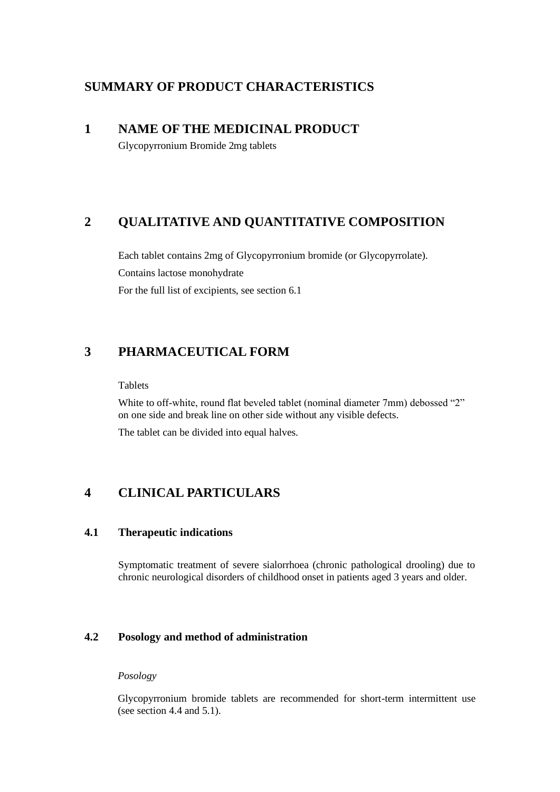# **SUMMARY OF PRODUCT CHARACTERISTICS**

# **1 NAME OF THE MEDICINAL PRODUCT**

Glycopyrronium Bromide 2mg tablets

# **2 QUALITATIVE AND QUANTITATIVE COMPOSITION**

Each tablet contains 2mg of Glycopyrronium bromide (or Glycopyrrolate). Contains lactose monohydrate For the full list of excipients, see section 6.1

# **3 PHARMACEUTICAL FORM**

## Tablets

White to off-white, round flat beveled tablet (nominal diameter 7mm) debossed "2" on one side and break line on other side without any visible defects.

The tablet can be divided into equal halves.

# **4 CLINICAL PARTICULARS**

## **4.1 Therapeutic indications**

Symptomatic treatment of severe sialorrhoea (chronic pathological drooling) due to chronic neurological disorders of childhood onset in patients aged 3 years and older.

# **4.2 Posology and method of administration**

## *Posology*

Glycopyrronium bromide tablets are recommended for short-term intermittent use (see section 4.4 and 5.1).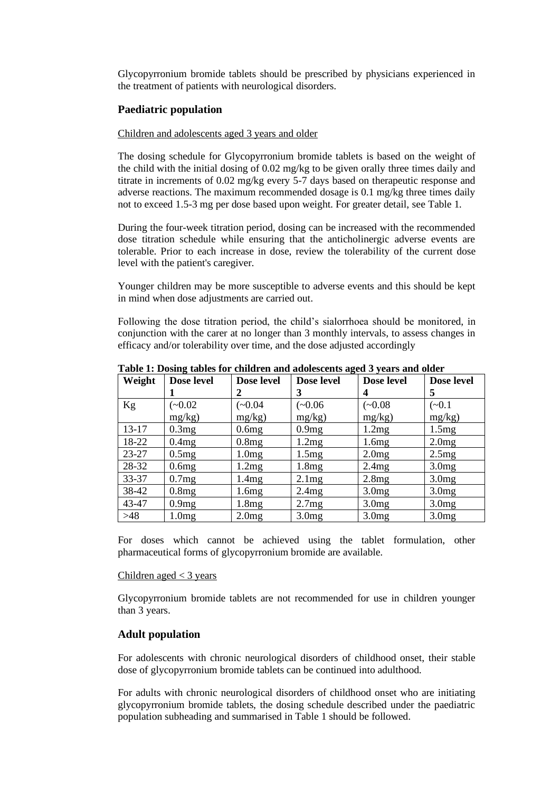Glycopyrronium bromide tablets should be prescribed by physicians experienced in the treatment of patients with neurological disorders.

## **Paediatric population**

### Children and adolescents aged 3 years and older

The dosing schedule for Glycopyrronium bromide tablets is based on the weight of the child with the initial dosing of 0.02 mg/kg to be given orally three times daily and titrate in increments of 0.02 mg/kg every 5-7 days based on therapeutic response and adverse reactions. The maximum recommended dosage is 0.1 mg/kg three times daily not to exceed 1.5-3 mg per dose based upon weight. For greater detail, see Table 1.

During the four-week titration period, dosing can be increased with the recommended dose titration schedule while ensuring that the anticholinergic adverse events are tolerable. Prior to each increase in dose, review the tolerability of the current dose level with the patient's caregiver.

Younger children may be more susceptible to adverse events and this should be kept in mind when dose adjustments are carried out.

Following the dose titration period, the child's sialorrhoea should be monitored, in conjunction with the carer at no longer than 3 monthly intervals, to assess changes in efficacy and/or tolerability over time, and the dose adjusted accordingly

| Weight    | Dose level | Dose level | Dose level | Dose level        | Dose level        |
|-----------|------------|------------|------------|-------------------|-------------------|
|           |            | 2          | 3          | 4                 | 5                 |
| Kg        | $(-0.02)$  | $(-0.04)$  | $(-0.06)$  | $(-0.08)$         | $(-0.1)$          |
|           | mg/kg)     | mg/kg)     | mg/kg)     | mg/kg)            | mg/kg)            |
| $13 - 17$ | 0.3mg      | 0.6mg      | 0.9mg      | 1.2mg             | 1.5mg             |
| 18-22     | 0.4mg      | 0.8mg      | 1.2mg      | 1.6mg             | 2.0mg             |
| $23 - 27$ | 0.5mg      | 1.0mg      | 1.5mg      | 2.0mg             | 2.5mg             |
| 28-32     | 0.6mg      | 1.2mg      | 1.8mg      | 2.4mg             | 3.0 <sub>mg</sub> |
| $33 - 37$ | 0.7mg      | 1.4mg      | 2.1mg      | 2.8mg             | 3.0 <sub>mg</sub> |
| 38-42     | 0.8mg      | 1.6mg      | 2.4mg      | 3.0 <sub>mg</sub> | 3.0 <sub>mg</sub> |
| 43-47     | 0.9mg      | 1.8mg      | 2.7mg      | 3.0mg             | 3.0 <sub>mg</sub> |
| >48       | 1.0mg      | 2.0mg      | 3.0mg      | 3.0 <sub>mg</sub> | 3.0 <sub>mg</sub> |

**Table 1: Dosing tables for children and adolescents aged 3 years and older**

For doses which cannot be achieved using the tablet formulation, other pharmaceutical forms of glycopyrronium bromide are available.

#### Children aged  $<$  3 years

Glycopyrronium bromide tablets are not recommended for use in children younger than 3 years.

## **Adult population**

For adolescents with chronic neurological disorders of childhood onset, their stable dose of glycopyrronium bromide tablets can be continued into adulthood.

For adults with chronic neurological disorders of childhood onset who are initiating glycopyrronium bromide tablets, the dosing schedule described under the paediatric population subheading and summarised in Table 1 should be followed.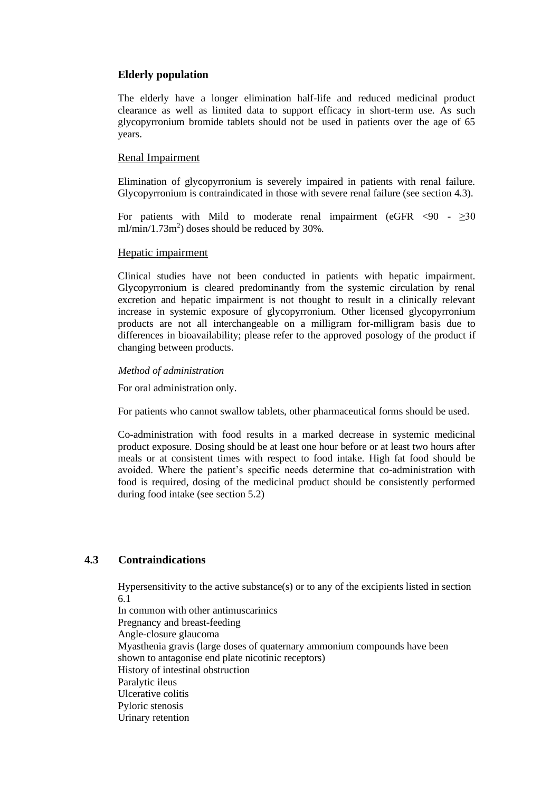## **Elderly population**

The elderly have a longer elimination half-life and reduced medicinal product clearance as well as limited data to support efficacy in short-term use. As such glycopyrronium bromide tablets should not be used in patients over the age of 65 years.

## Renal Impairment

Elimination of glycopyrronium is severely impaired in patients with renal failure. Glycopyrronium is contraindicated in those with severe renal failure (see section 4.3).

For patients with Mild to moderate renal impairment (eGFR  $\langle 90 - \rangle 230$  $ml/min/1.73m<sup>2</sup>$ ) doses should be reduced by 30%.

## Hepatic impairment

Clinical studies have not been conducted in patients with hepatic impairment. Glycopyrronium is cleared predominantly from the systemic circulation by renal excretion and hepatic impairment is not thought to result in a clinically relevant increase in systemic exposure of glycopyrronium. Other licensed glycopyrronium products are not all interchangeable on a milligram for-milligram basis due to differences in bioavailability; please refer to the approved posology of the product if changing between products.

#### *Method of administration*

For oral administration only.

For patients who cannot swallow tablets, other pharmaceutical forms should be used.

Co-administration with food results in a marked decrease in systemic medicinal product exposure. Dosing should be at least one hour before or at least two hours after meals or at consistent times with respect to food intake. High fat food should be avoided. Where the patient's specific needs determine that co-administration with food is required, dosing of the medicinal product should be consistently performed during food intake (see section 5.2)

## **4.3 Contraindications**

Hypersensitivity to the active substance(s) or to any of the excipients listed in section 6.1

In common with other antimuscarinics Pregnancy and breast-feeding Angle-closure glaucoma Myasthenia gravis (large doses of quaternary ammonium compounds have been shown to antagonise end plate nicotinic receptors) History of intestinal obstruction Paralytic ileus Ulcerative colitis Pyloric stenosis Urinary retention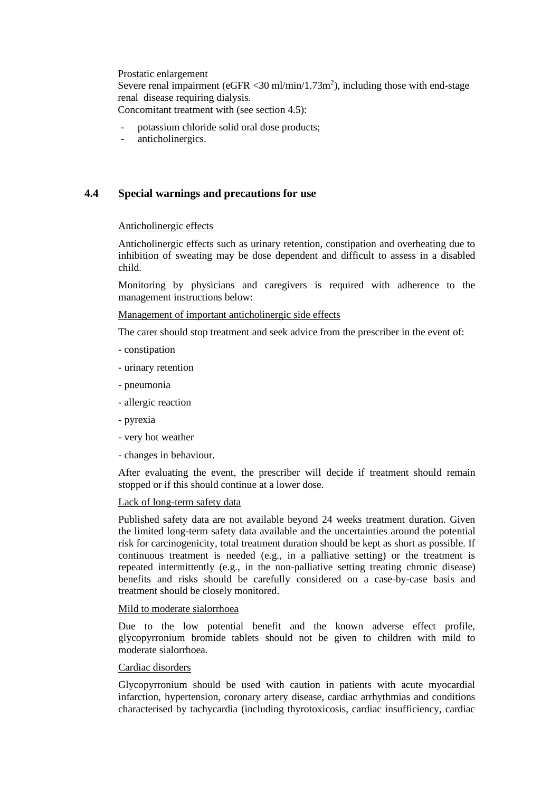Prostatic enlargement Severe renal impairment ( $eGFR < 30$  ml/min/1.73m<sup>2</sup>), including those with end-stage renal disease requiring dialysis. Concomitant treatment with (see section 4.5):

- potassium chloride solid oral dose products;
- anticholinergics.

# **4.4 Special warnings and precautions for use**

#### Anticholinergic effects

Anticholinergic effects such as urinary retention, constipation and overheating due to inhibition of sweating may be dose dependent and difficult to assess in a disabled child.

Monitoring by physicians and caregivers is required with adherence to the management instructions below:

## Management of important anticholinergic side effects

The carer should stop treatment and seek advice from the prescriber in the event of:

- constipation
- urinary retention
- pneumonia
- allergic reaction
- pyrexia
- very hot weather
- changes in behaviour.

After evaluating the event, the prescriber will decide if treatment should remain stopped or if this should continue at a lower dose.

#### Lack of long-term safety data

Published safety data are not available beyond 24 weeks treatment duration. Given the limited long-term safety data available and the uncertainties around the potential risk for carcinogenicity, total treatment duration should be kept as short as possible. If continuous treatment is needed (e.g., in a palliative setting) or the treatment is repeated intermittently (e.g., in the non-palliative setting treating chronic disease) benefits and risks should be carefully considered on a case-by-case basis and treatment should be closely monitored.

#### Mild to moderate sialorrhoea

Due to the low potential benefit and the known adverse effect profile, glycopyrronium bromide tablets should not be given to children with mild to moderate sialorrhoea.

#### Cardiac disorders

Glycopyrronium should be used with caution in patients with acute myocardial infarction, hypertension, coronary artery disease, cardiac arrhythmias and conditions characterised by tachycardia (including thyrotoxicosis, cardiac insufficiency, cardiac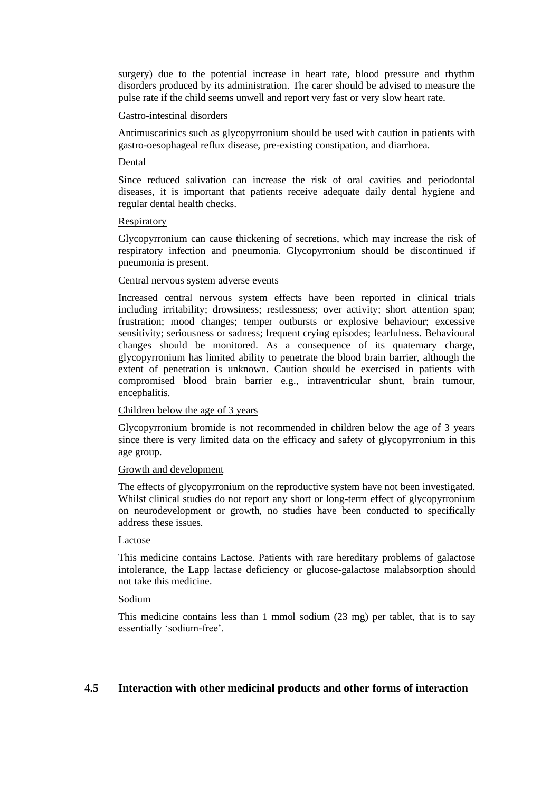surgery) due to the potential increase in heart rate, blood pressure and rhythm disorders produced by its administration. The carer should be advised to measure the pulse rate if the child seems unwell and report very fast or very slow heart rate.

#### Gastro-intestinal disorders

Antimuscarinics such as glycopyrronium should be used with caution in patients with gastro-oesophageal reflux disease, pre-existing constipation, and diarrhoea.

## Dental

Since reduced salivation can increase the risk of oral cavities and periodontal diseases, it is important that patients receive adequate daily dental hygiene and regular dental health checks.

#### Respiratory

Glycopyrronium can cause thickening of secretions, which may increase the risk of respiratory infection and pneumonia. Glycopyrronium should be discontinued if pneumonia is present.

#### Central nervous system adverse events

Increased central nervous system effects have been reported in clinical trials including irritability; drowsiness; restlessness; over activity; short attention span; frustration; mood changes; temper outbursts or explosive behaviour; excessive sensitivity; seriousness or sadness; frequent crying episodes; fearfulness. Behavioural changes should be monitored. As a consequence of its quaternary charge, glycopyrronium has limited ability to penetrate the blood brain barrier, although the extent of penetration is unknown. Caution should be exercised in patients with compromised blood brain barrier e.g., intraventricular shunt, brain tumour, encephalitis.

## Children below the age of 3 years

Glycopyrronium bromide is not recommended in children below the age of 3 years since there is very limited data on the efficacy and safety of glycopyrronium in this age group.

## Growth and development

The effects of glycopyrronium on the reproductive system have not been investigated. Whilst clinical studies do not report any short or long-term effect of glycopyrronium on neurodevelopment or growth, no studies have been conducted to specifically address these issues.

## Lactose

This medicine contains Lactose. Patients with rare hereditary problems of galactose intolerance, the Lapp lactase deficiency or glucose-galactose malabsorption should not take this medicine.

## Sodium

This medicine contains less than 1 mmol sodium (23 mg) per tablet, that is to say essentially 'sodium-free'.

## **4.5 Interaction with other medicinal products and other forms of interaction**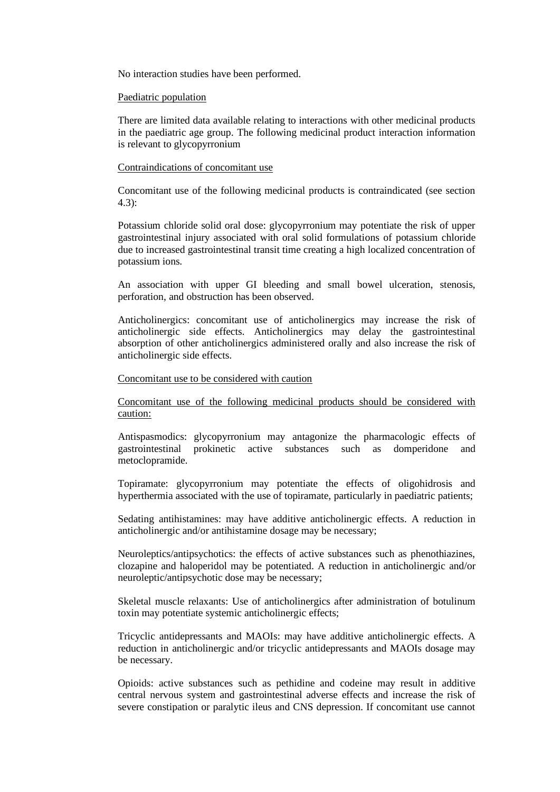No interaction studies have been performed.

#### Paediatric population

There are limited data available relating to interactions with other medicinal products in the paediatric age group. The following medicinal product interaction information is relevant to glycopyrronium

### Contraindications of concomitant use

Concomitant use of the following medicinal products is contraindicated (see section 4.3):

Potassium chloride solid oral dose: glycopyrronium may potentiate the risk of upper gastrointestinal injury associated with oral solid formulations of potassium chloride due to increased gastrointestinal transit time creating a high localized concentration of potassium ions.

An association with upper GI bleeding and small bowel ulceration, stenosis, perforation, and obstruction has been observed.

Anticholinergics: concomitant use of anticholinergics may increase the risk of anticholinergic side effects. Anticholinergics may delay the gastrointestinal absorption of other anticholinergics administered orally and also increase the risk of anticholinergic side effects.

### Concomitant use to be considered with caution

Concomitant use of the following medicinal products should be considered with caution:

Antispasmodics: glycopyrronium may antagonize the pharmacologic effects of gastrointestinal prokinetic active substances such as domperidone and metoclopramide.

Topiramate: glycopyrronium may potentiate the effects of oligohidrosis and hyperthermia associated with the use of topiramate, particularly in paediatric patients;

Sedating antihistamines: may have additive anticholinergic effects. A reduction in anticholinergic and/or antihistamine dosage may be necessary;

Neuroleptics/antipsychotics: the effects of active substances such as phenothiazines, clozapine and haloperidol may be potentiated. A reduction in anticholinergic and/or neuroleptic/antipsychotic dose may be necessary;

Skeletal muscle relaxants: Use of anticholinergics after administration of botulinum toxin may potentiate systemic anticholinergic effects;

Tricyclic antidepressants and MAOIs: may have additive anticholinergic effects. A reduction in anticholinergic and/or tricyclic antidepressants and MAOIs dosage may be necessary.

Opioids: active substances such as pethidine and codeine may result in additive central nervous system and gastrointestinal adverse effects and increase the risk of severe constipation or paralytic ileus and CNS depression. If concomitant use cannot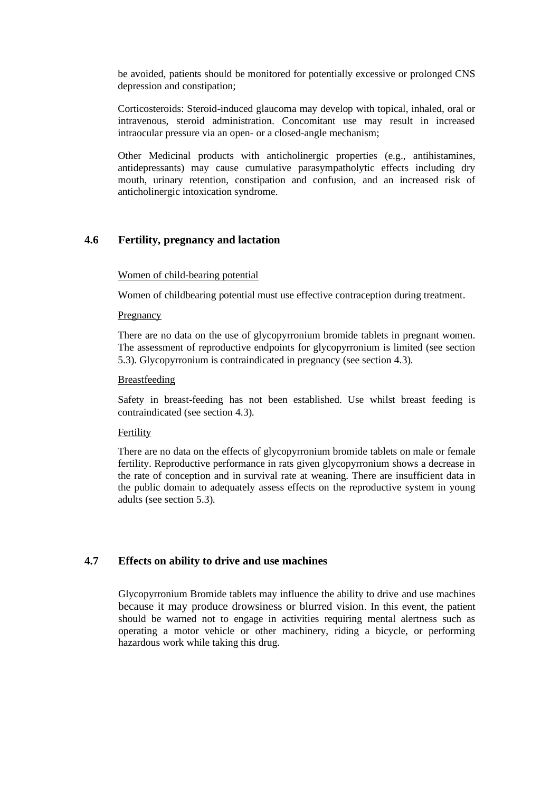be avoided, patients should be monitored for potentially excessive or prolonged CNS depression and constipation;

Corticosteroids: Steroid-induced glaucoma may develop with topical, inhaled, oral or intravenous, steroid administration. Concomitant use may result in increased intraocular pressure via an open- or a closed-angle mechanism;

Other Medicinal products with anticholinergic properties (e.g., antihistamines, antidepressants) may cause cumulative parasympatholytic effects including dry mouth, urinary retention, constipation and confusion, and an increased risk of anticholinergic intoxication syndrome.

## **4.6 Fertility, pregnancy and lactation**

### Women of child-bearing potential

Women of childbearing potential must use effective contraception during treatment.

#### Pregnancy

There are no data on the use of glycopyrronium bromide tablets in pregnant women. The assessment of reproductive endpoints for glycopyrronium is limited (see section 5.3). Glycopyrronium is contraindicated in pregnancy (see section 4.3).

#### Breastfeeding

Safety in breast-feeding has not been established. Use whilst breast feeding is contraindicated (see section 4.3).

#### Fertility

There are no data on the effects of glycopyrronium bromide tablets on male or female fertility. Reproductive performance in rats given glycopyrronium shows a decrease in the rate of conception and in survival rate at weaning. There are insufficient data in the public domain to adequately assess effects on the reproductive system in young adults (see section 5.3).

# **4.7 Effects on ability to drive and use machines**

Glycopyrronium Bromide tablets may influence the ability to drive and use machines because it may produce drowsiness or blurred vision. In this event, the patient should be warned not to engage in activities requiring mental alertness such as operating a motor vehicle or other machinery, riding a bicycle, or performing hazardous work while taking this drug.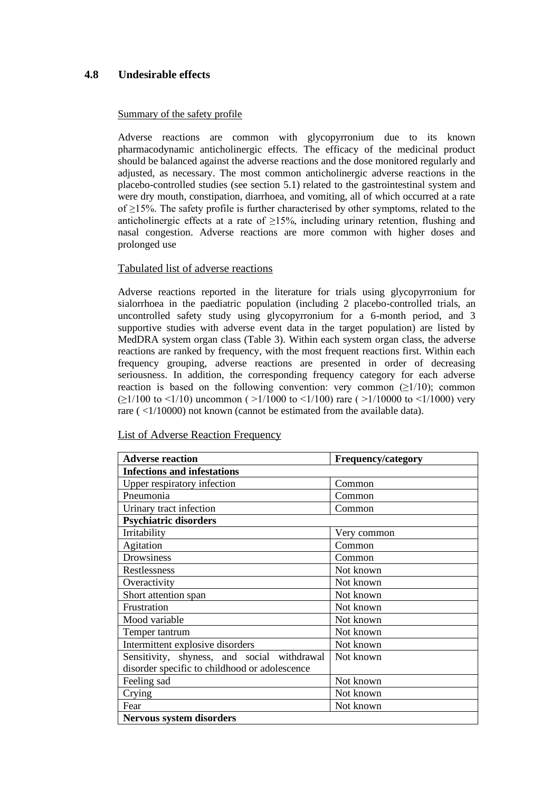# **4.8 Undesirable effects**

## Summary of the safety profile

Adverse reactions are common with glycopyrronium due to its known pharmacodynamic anticholinergic effects. The efficacy of the medicinal product should be balanced against the adverse reactions and the dose monitored regularly and adjusted, as necessary. The most common anticholinergic adverse reactions in the placebo-controlled studies (see section 5.1) related to the gastrointestinal system and were dry mouth, constipation, diarrhoea, and vomiting, all of which occurred at a rate of ≥15%. The safety profile is further characterised by other symptoms, related to the anticholinergic effects at a rate of  $\geq$ 15%, including urinary retention, flushing and nasal congestion. Adverse reactions are more common with higher doses and prolonged use

## Tabulated list of adverse reactions

Adverse reactions reported in the literature for trials using glycopyrronium for sialorrhoea in the paediatric population (including 2 placebo-controlled trials, an uncontrolled safety study using glycopyrronium for a 6-month period, and 3 supportive studies with adverse event data in the target population) are listed by MedDRA system organ class (Table 3). Within each system organ class, the adverse reactions are ranked by frequency, with the most frequent reactions first. Within each frequency grouping, adverse reactions are presented in order of decreasing seriousness. In addition, the corresponding frequency category for each adverse reaction is based on the following convention: very common  $(≥1/10)$ ; common  $(\geq 1/100$  to <1/10) uncommon ( $>1/1000$  to <1/100) rare ( $>1/10000$  to <1/1000) very rare ( $\langle 1/10000 \rangle$ ) not known (cannot be estimated from the available data).

| <b>Adverse reaction</b>                       | <b>Frequency/category</b> |  |  |  |
|-----------------------------------------------|---------------------------|--|--|--|
| <b>Infections and infestations</b>            |                           |  |  |  |
| Upper respiratory infection                   | Common                    |  |  |  |
| Pneumonia                                     | Common                    |  |  |  |
| Urinary tract infection                       | Common                    |  |  |  |
| <b>Psychiatric disorders</b>                  |                           |  |  |  |
| Irritability                                  | Very common               |  |  |  |
| Agitation                                     | Common                    |  |  |  |
| Drowsiness                                    | Common                    |  |  |  |
| Restlessness                                  | Not known                 |  |  |  |
| Overactivity                                  | Not known                 |  |  |  |
| Short attention span                          | Not known                 |  |  |  |
| Frustration                                   | Not known                 |  |  |  |
| Mood variable                                 | Not known                 |  |  |  |
| Temper tantrum                                | Not known                 |  |  |  |
| Intermittent explosive disorders              | Not known                 |  |  |  |
| Sensitivity, shyness, and social withdrawal   | Not known                 |  |  |  |
| disorder specific to childhood or adolescence |                           |  |  |  |
| Feeling sad                                   | Not known                 |  |  |  |
| Crying                                        | Not known                 |  |  |  |
| Fear                                          | Not known                 |  |  |  |
| Nervous system disorders                      |                           |  |  |  |

List of Adverse Reaction Frequency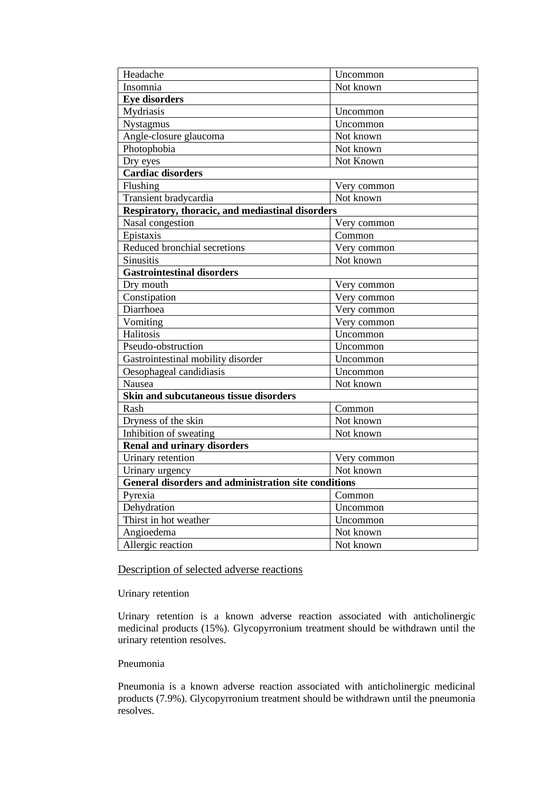| Headache                                             | Uncommon                      |  |  |  |  |  |
|------------------------------------------------------|-------------------------------|--|--|--|--|--|
| Insomnia                                             | Not known                     |  |  |  |  |  |
| <b>Eye disorders</b>                                 |                               |  |  |  |  |  |
| Mydriasis                                            | Uncommon                      |  |  |  |  |  |
| Nystagmus                                            | Uncommon                      |  |  |  |  |  |
| Angle-closure glaucoma                               | Not known                     |  |  |  |  |  |
| Photophobia                                          | Not known                     |  |  |  |  |  |
| Dry eyes                                             | $\overline{\text{Not}}$ Known |  |  |  |  |  |
| <b>Cardiac disorders</b>                             |                               |  |  |  |  |  |
| Flushing                                             | Very common                   |  |  |  |  |  |
| Transient bradycardia                                | Not known                     |  |  |  |  |  |
| Respiratory, thoracic, and mediastinal disorders     |                               |  |  |  |  |  |
| Nasal congestion                                     | Very common                   |  |  |  |  |  |
| Epistaxis                                            | Common                        |  |  |  |  |  |
| Reduced bronchial secretions                         | Very common                   |  |  |  |  |  |
| Sinusitis                                            | Not known                     |  |  |  |  |  |
| <b>Gastrointestinal disorders</b>                    |                               |  |  |  |  |  |
| Dry mouth                                            | Very common                   |  |  |  |  |  |
| Constipation                                         | Very common                   |  |  |  |  |  |
| Diarrhoea                                            | Very common                   |  |  |  |  |  |
| Vomiting                                             | Very common                   |  |  |  |  |  |
| Halitosis                                            | Uncommon                      |  |  |  |  |  |
| Pseudo-obstruction                                   | Uncommon                      |  |  |  |  |  |
| Gastrointestinal mobility disorder                   | Uncommon                      |  |  |  |  |  |
| Oesophageal candidiasis                              | Uncommon                      |  |  |  |  |  |
| Nausea                                               | Not known                     |  |  |  |  |  |
| Skin and subcutaneous tissue disorders               |                               |  |  |  |  |  |
| Rash                                                 | Common                        |  |  |  |  |  |
| Dryness of the skin                                  | Not known                     |  |  |  |  |  |
| Inhibition of sweating                               | Not known                     |  |  |  |  |  |
| <b>Renal and urinary disorders</b>                   |                               |  |  |  |  |  |
| Urinary retention                                    | Very common                   |  |  |  |  |  |
| Urinary urgency                                      | Not known                     |  |  |  |  |  |
| General disorders and administration site conditions |                               |  |  |  |  |  |
| Pyrexia                                              | Common                        |  |  |  |  |  |
| Dehydration                                          | Uncommon                      |  |  |  |  |  |
| Thirst in hot weather                                | Uncommon                      |  |  |  |  |  |
| Angioedema                                           | Not known                     |  |  |  |  |  |
| Allergic reaction                                    | Not known                     |  |  |  |  |  |

# Description of selected adverse reactions

# Urinary retention

Urinary retention is a known adverse reaction associated with anticholinergic medicinal products (15%). Glycopyrronium treatment should be withdrawn until the urinary retention resolves.

## Pneumonia

Pneumonia is a known adverse reaction associated with anticholinergic medicinal products (7.9%). Glycopyrronium treatment should be withdrawn until the pneumonia resolves.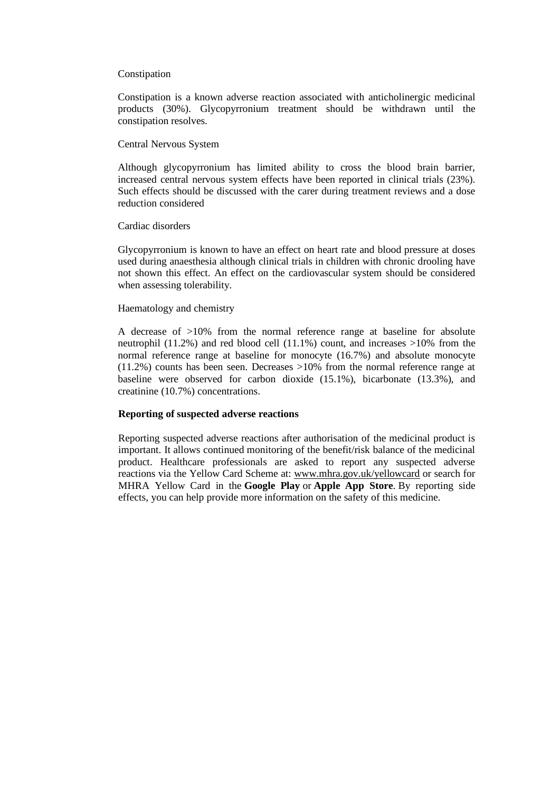#### Constipation

Constipation is a known adverse reaction associated with anticholinergic medicinal products (30%). Glycopyrronium treatment should be withdrawn until the constipation resolves.

#### Central Nervous System

Although glycopyrronium has limited ability to cross the blood brain barrier, increased central nervous system effects have been reported in clinical trials (23%). Such effects should be discussed with the carer during treatment reviews and a dose reduction considered

#### Cardiac disorders

Glycopyrronium is known to have an effect on heart rate and blood pressure at doses used during anaesthesia although clinical trials in children with chronic drooling have not shown this effect. An effect on the cardiovascular system should be considered when assessing tolerability.

#### Haematology and chemistry

A decrease of >10% from the normal reference range at baseline for absolute neutrophil  $(11.2\%)$  and red blood cell  $(11.1\%)$  count, and increases  $>10\%$  from the normal reference range at baseline for monocyte (16.7%) and absolute monocyte  $(11.2%)$  counts has been seen. Decreases  $>10%$  from the normal reference range at baseline were observed for carbon dioxide (15.1%), bicarbonate (13.3%), and creatinine (10.7%) concentrations.

#### **Reporting of suspected adverse reactions**

Reporting suspected adverse reactions after authorisation of the medicinal product is important. It allows continued monitoring of the benefit/risk balance of the medicinal product. Healthcare professionals are asked to report any suspected adverse reactions via the Yellow Card Scheme at: [www.mhra.gov.uk/yellowcard](http://www.mhra.gov.uk/yellowcard) or search for MHRA Yellow Card in the **Google Play** or **Apple App Store**. By reporting side effects, you can help provide more information on the safety of this medicine.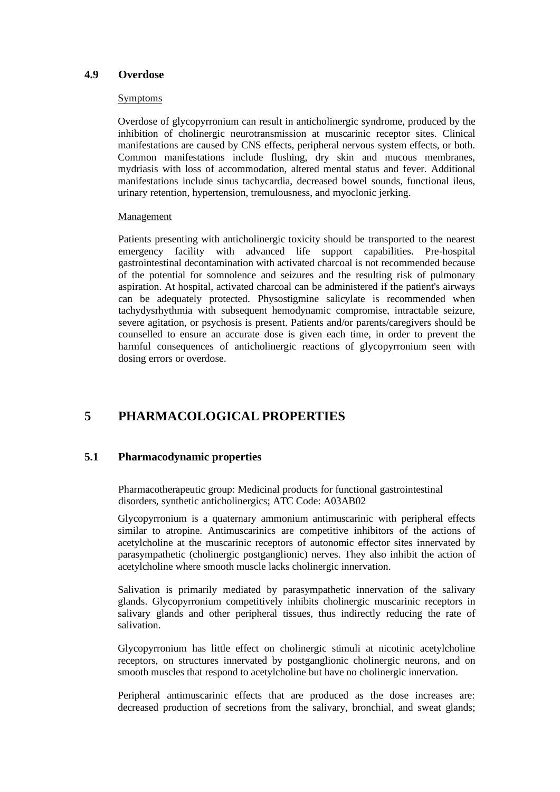## **4.9 Overdose**

#### Symptoms

Overdose of glycopyrronium can result in anticholinergic syndrome, produced by the inhibition of cholinergic neurotransmission at muscarinic receptor sites. Clinical manifestations are caused by CNS effects, peripheral nervous system effects, or both. Common manifestations include flushing, dry skin and mucous membranes, mydriasis with loss of accommodation, altered mental status and fever. Additional manifestations include sinus tachycardia, decreased bowel sounds, functional ileus, urinary retention, hypertension, tremulousness, and myoclonic jerking.

#### Management

Patients presenting with anticholinergic toxicity should be transported to the nearest emergency facility with advanced life support capabilities. Pre-hospital gastrointestinal decontamination with activated charcoal is not recommended because of the potential for somnolence and seizures and the resulting risk of pulmonary aspiration. At hospital, activated charcoal can be administered if the patient's airways can be adequately protected. Physostigmine salicylate is recommended when tachydysrhythmia with subsequent hemodynamic compromise, intractable seizure, severe agitation, or psychosis is present. Patients and/or parents/caregivers should be counselled to ensure an accurate dose is given each time, in order to prevent the harmful consequences of anticholinergic reactions of glycopyrronium seen with dosing errors or overdose.

# **5 PHARMACOLOGICAL PROPERTIES**

## **5.1 Pharmacodynamic properties**

Pharmacotherapeutic group: Medicinal products for functional gastrointestinal disorders, synthetic anticholinergics; ATC Code: A03AB02

Glycopyrronium is a quaternary ammonium antimuscarinic with peripheral effects similar to atropine. Antimuscarinics are competitive inhibitors of the actions of acetylcholine at the muscarinic receptors of autonomic effector sites innervated by parasympathetic (cholinergic postganglionic) nerves. They also inhibit the action of acetylcholine where smooth muscle lacks cholinergic innervation.

Salivation is primarily mediated by parasympathetic innervation of the salivary glands. Glycopyrronium competitively inhibits cholinergic muscarinic receptors in salivary glands and other peripheral tissues, thus indirectly reducing the rate of salivation.

Glycopyrronium has little effect on cholinergic stimuli at nicotinic acetylcholine receptors, on structures innervated by postganglionic cholinergic neurons, and on smooth muscles that respond to acetylcholine but have no cholinergic innervation.

Peripheral antimuscarinic effects that are produced as the dose increases are: decreased production of secretions from the salivary, bronchial, and sweat glands;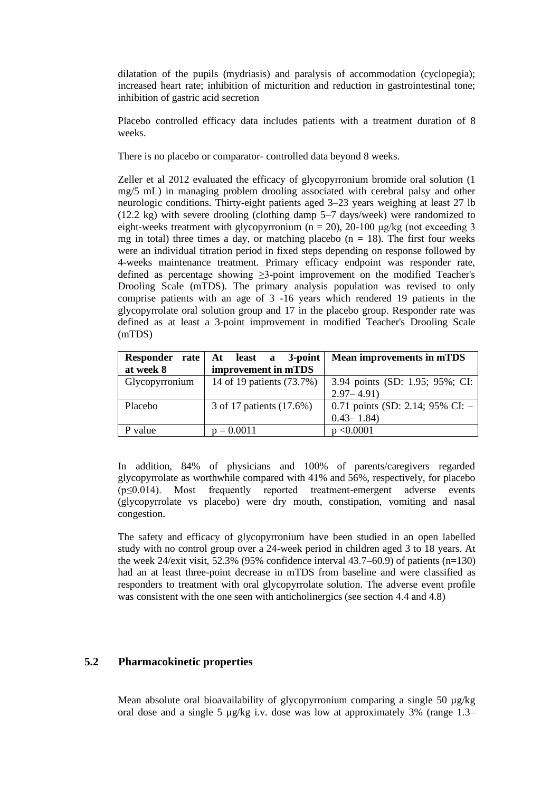dilatation of the pupils (mydriasis) and paralysis of accommodation (cyclopegia); increased heart rate; inhibition of micturition and reduction in gastrointestinal tone; inhibition of gastric acid secretion

Placebo controlled efficacy data includes patients with a treatment duration of 8 weeks.

There is no placebo or comparator- controlled data beyond 8 weeks.

Zeller et al 2012 evaluated the efficacy of glycopyrronium bromide oral solution (1 mg/5 mL) in managing problem drooling associated with cerebral palsy and other neurologic conditions. Thirty-eight patients aged 3–23 years weighing at least 27 lb (12.2 kg) with severe drooling (clothing damp 5–7 days/week) were randomized to eight-weeks treatment with glycopyrronium ( $n = 20$ ), 20-100 μg/kg (not exceeding 3 mg in total) three times a day, or matching placebo  $(n = 18)$ . The first four weeks were an individual titration period in fixed steps depending on response followed by 4-weeks maintenance treatment. Primary efficacy endpoint was responder rate, defined as percentage showing ≥3-point improvement on the modified Teacher's Drooling Scale (mTDS). The primary analysis population was revised to only comprise patients with an age of 3 -16 years which rendered 19 patients in the glycopyrrolate oral solution group and 17 in the placebo group. Responder rate was defined as at least a 3-point improvement in modified Teacher's Drooling Scale (mTDS)

| Responder<br>rate | At least a 3-point        | <b>Mean improvements in mTDS</b>   |
|-------------------|---------------------------|------------------------------------|
| at week 8         | improvement in mTDS       |                                    |
| Glycopyrronium    | 14 of 19 patients (73.7%) | 3.94 points (SD: 1.95; 95%; CI:    |
|                   |                           | $2.97 - 4.91$                      |
| Placebo           | 3 of 17 patients (17.6%)  | 0.71 points (SD: 2.14; 95% CI: $-$ |
|                   |                           | $0.43 - 1.84$                      |
| P value           | $p = 0.0011$              | p < 0.0001                         |

In addition, 84% of physicians and 100% of parents/caregivers regarded glycopyrrolate as worthwhile compared with 41% and 56%, respectively, for placebo (p≤0.014). Most frequently reported treatment-emergent adverse events (glycopyrrolate vs placebo) were dry mouth, constipation, vomiting and nasal congestion.

The safety and efficacy of glycopyrronium have been studied in an open labelled study with no control group over a 24-week period in children aged 3 to 18 years. At the week 24/exit visit, 52.3% (95% confidence interval 43.7–60.9) of patients (n=130) had an at least three-point decrease in mTDS from baseline and were classified as responders to treatment with oral glycopyrrolate solution. The adverse event profile was consistent with the one seen with anticholinergics (see section 4.4 and 4.8)

## **5.2 Pharmacokinetic properties**

Mean absolute oral bioavailability of glycopyrronium comparing a single 50  $\mu$ g/kg oral dose and a single 5  $\mu$ g/kg i.v. dose was low at approximately 3% (range 1.3–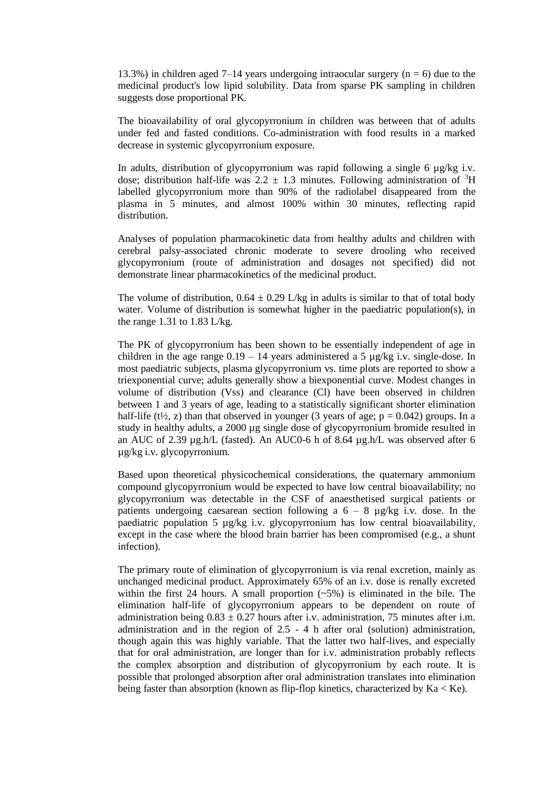13.3%) in children aged 7–14 years undergoing intraocular surgery ( $n = 6$ ) due to the medicinal product's low lipid solubility. Data from sparse PK sampling in children suggests dose proportional PK.

The bioavailability of oral glycopyrronium in children was between that of adults under fed and fasted conditions. Co-administration with food results in a marked decrease in systemic glycopyrronium exposure.

In adults, distribution of glycopyrronium was rapid following a single 6  $\mu$ g/kg i.v. dose; distribution half-life was  $2.2 \pm 1.3$  minutes. Following administration of <sup>3</sup>H labelled glycopyrronium more than 90% of the radiolabel disappeared from the plasma in 5 minutes, and almost 100% within 30 minutes, reflecting rapid distribution.

Analyses of population pharmacokinetic data from healthy adults and children with cerebral palsy-associated chronic moderate to severe drooling who received glycopyrronium (route of administration and dosages not specified) did not demonstrate linear pharmacokinetics of the medicinal product.

The volume of distribution,  $0.64 \pm 0.29$  L/kg in adults is similar to that of total body water. Volume of distribution is somewhat higher in the paediatric population(s), in the range 1.31 to  $1.83$  L/kg.

The PK of glycopyrronium has been shown to be essentially independent of age in children in the age range  $0.19 - 14$  years administered a 5  $\mu$ g/kg i.v. single-dose. In most paediatric subjects, plasma glycopyrronium vs. time plots are reported to show a triexponential curve; adults generally show a biexponential curve. Modest changes in volume of distribution (Vss) and clearance (Cl) have been observed in children between 1 and 3 years of age, leading to a statistically significant shorter elimination half-life ( $t\frac{1}{2}$ , z) than that observed in younger (3 years of age; p = 0.042) groups. In a study in healthy adults, a 2000 µg single dose of glycopyrronium bromide resulted in an AUC of 2.39 µg.h/L (fasted). An AUC0-6 h of 8.64 µg.h/L was observed after 6 µg/kg i.v. glycopyrronium.

Based upon theoretical physicochemical considerations, the quaternary ammonium compound glycopyrronium would be expected to have low central bioavailability; no glycopyrronium was detectable in the CSF of anaesthetised surgical patients or patients undergoing caesarean section following a  $6 - 8$  µg/kg i.v. dose. In the paediatric population 5 µg/kg i.v. glycopyrronium has low central bioavailability, except in the case where the blood brain barrier has been compromised (e.g., a shunt infection).

The primary route of elimination of glycopyrronium is via renal excretion, mainly as unchanged medicinal product. Approximately 65% of an i.v. dose is renally excreted within the first 24 hours. A small proportion  $(-5%)$  is eliminated in the bile. The elimination half-life of glycopyrronium appears to be dependent on route of administration being  $0.83 \pm 0.27$  hours after i.v. administration, 75 minutes after i.m. administration and in the region of 2.5 - 4 h after oral (solution) administration, though again this was highly variable. That the latter two half-lives, and especially that for oral administration, are longer than for i.v. administration probably reflects the complex absorption and distribution of glycopyrronium by each route. It is possible that prolonged absorption after oral administration translates into elimination being faster than absorption (known as flip-flop kinetics, characterized by Ka < Ke).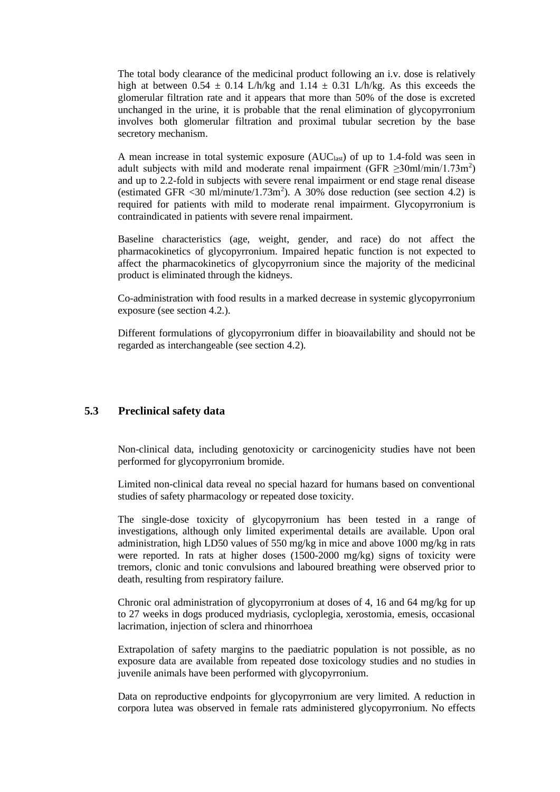The total body clearance of the medicinal product following an i.v. dose is relatively high at between  $0.54 \pm 0.14$  L/h/kg and  $1.14 \pm 0.31$  L/h/kg. As this exceeds the glomerular filtration rate and it appears that more than 50% of the dose is excreted unchanged in the urine, it is probable that the renal elimination of glycopyrronium involves both glomerular filtration and proximal tubular secretion by the base secretory mechanism.

A mean increase in total systemic exposure  $(AUC<sub>last</sub>)$  of up to 1.4-fold was seen in adult subjects with mild and moderate renal impairment (GFR  $\geq$ 30ml/min/1.73m<sup>2</sup>) and up to 2.2-fold in subjects with severe renal impairment or end stage renal disease (estimated GFR  $\langle 30 \text{ m} \rangle$ /minute/1.73m<sup>2</sup>). A 30% dose reduction (see section 4.2) is required for patients with mild to moderate renal impairment. Glycopyrronium is contraindicated in patients with severe renal impairment.

Baseline characteristics (age, weight, gender, and race) do not affect the pharmacokinetics of glycopyrronium. Impaired hepatic function is not expected to affect the pharmacokinetics of glycopyrronium since the majority of the medicinal product is eliminated through the kidneys.

Co-administration with food results in a marked decrease in systemic glycopyrronium exposure (see section 4.2.).

Different formulations of glycopyrronium differ in bioavailability and should not be regarded as interchangeable (see section 4.2).

# **5.3 Preclinical safety data**

Non-clinical data, including genotoxicity or carcinogenicity studies have not been performed for glycopyrronium bromide.

Limited non-clinical data reveal no special hazard for humans based on conventional studies of safety pharmacology or repeated dose toxicity.

The single-dose toxicity of glycopyrronium has been tested in a range of investigations, although only limited experimental details are available. Upon oral administration, high LD50 values of 550 mg/kg in mice and above 1000 mg/kg in rats were reported. In rats at higher doses (1500-2000 mg/kg) signs of toxicity were tremors, clonic and tonic convulsions and laboured breathing were observed prior to death, resulting from respiratory failure.

Chronic oral administration of glycopyrronium at doses of 4, 16 and 64 mg/kg for up to 27 weeks in dogs produced mydriasis, cycloplegia, xerostomia, emesis, occasional lacrimation, injection of sclera and rhinorrhoea

Extrapolation of safety margins to the paediatric population is not possible, as no exposure data are available from repeated dose toxicology studies and no studies in juvenile animals have been performed with glycopyrronium.

Data on reproductive endpoints for glycopyrronium are very limited. A reduction in corpora lutea was observed in female rats administered glycopyrronium. No effects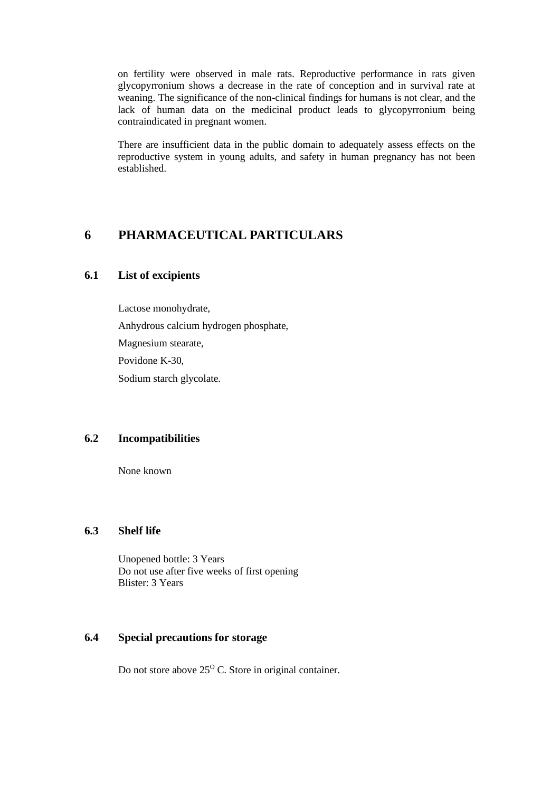on fertility were observed in male rats. Reproductive performance in rats given glycopyrronium shows a decrease in the rate of conception and in survival rate at weaning. The significance of the non-clinical findings for humans is not clear, and the lack of human data on the medicinal product leads to glycopyrronium being contraindicated in pregnant women.

There are insufficient data in the public domain to adequately assess effects on the reproductive system in young adults, and safety in human pregnancy has not been established.

# **6 PHARMACEUTICAL PARTICULARS**

## **6.1 List of excipients**

Lactose monohydrate, Anhydrous calcium hydrogen phosphate, Magnesium stearate, Povidone K-30, Sodium starch glycolate.

## **6.2 Incompatibilities**

None known

## **6.3 Shelf life**

Unopened bottle: 3 Years Do not use after five weeks of first opening Blister: 3 Years

# **6.4 Special precautions for storage**

Do not store above  $25^{\circ}$  C. Store in original container.